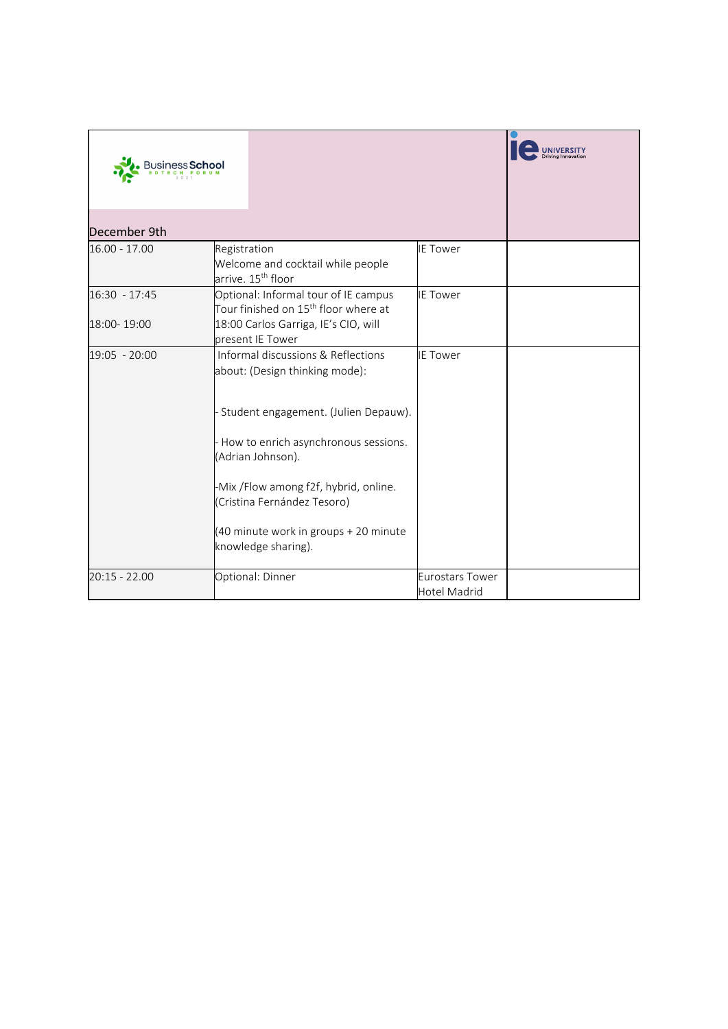|                 |                                                                                          |                                               | <b>UNIVERSITY</b> |
|-----------------|------------------------------------------------------------------------------------------|-----------------------------------------------|-------------------|
| December 9th    |                                                                                          |                                               |                   |
| 16.00 - 17.00   | Registration<br>Welcome and cocktail while people<br>arrive. 15 <sup>th</sup> floor      | <b>IE Tower</b>                               |                   |
| 16:30 - 17:45   | Optional: Informal tour of IE campus<br>Tour finished on 15 <sup>th</sup> floor where at | <b>IE Tower</b>                               |                   |
| 18:00-19:00     | 18:00 Carlos Garriga, IE's CIO, will<br>present IE Tower                                 |                                               |                   |
| 19:05 - 20:00   | Informal discussions & Reflections<br>about: (Design thinking mode):                     | <b>IE Tower</b>                               |                   |
|                 | Student engagement. (Julien Depauw).                                                     |                                               |                   |
|                 | - How to enrich asynchronous sessions.<br>(Adrian Johnson).                              |                                               |                   |
|                 | -Mix /Flow among f2f, hybrid, online.<br>(Cristina Fernández Tesoro)                     |                                               |                   |
|                 | (40 minute work in groups + 20 minute<br>knowledge sharing).                             |                                               |                   |
| $20:15 - 22.00$ | Optional: Dinner                                                                         | <b>Eurostars Tower</b><br><b>Hotel Madrid</b> |                   |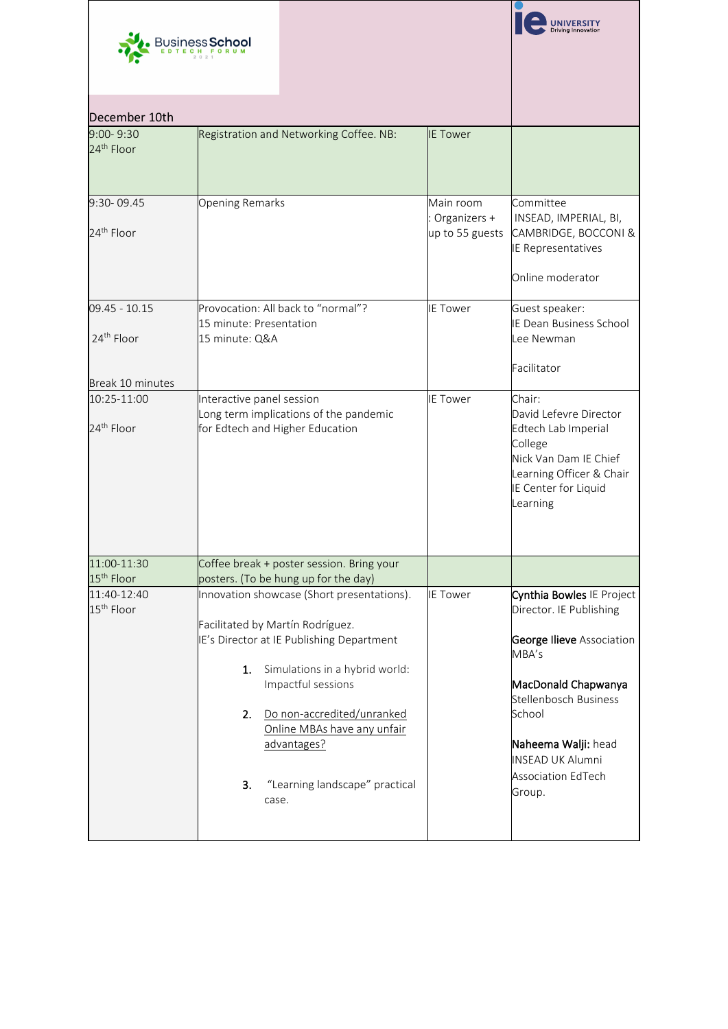|                                                             | Business <b>School</b>                                                                                                                                                                                                                                                                                                       |                                              |                                                                                                                                                                                                                                               |
|-------------------------------------------------------------|------------------------------------------------------------------------------------------------------------------------------------------------------------------------------------------------------------------------------------------------------------------------------------------------------------------------------|----------------------------------------------|-----------------------------------------------------------------------------------------------------------------------------------------------------------------------------------------------------------------------------------------------|
| December 10th                                               |                                                                                                                                                                                                                                                                                                                              |                                              |                                                                                                                                                                                                                                               |
| $9:00 - 9:30$<br>24 <sup>th</sup> Floor                     | Registration and Networking Coffee. NB:                                                                                                                                                                                                                                                                                      | <b>IE Tower</b>                              |                                                                                                                                                                                                                                               |
| 9:30-09.45<br>24 <sup>th</sup> Floor                        | <b>Opening Remarks</b>                                                                                                                                                                                                                                                                                                       | Main room<br>Organizers +<br>up to 55 guests | Committee<br>INSEAD, IMPERIAL, BI,<br>CAMBRIDGE, BOCCONI &<br><b>IE Representatives</b><br>Online moderator                                                                                                                                   |
| 09.45 - 10.15<br>24 <sup>th</sup> Floor<br>Break 10 minutes | Provocation: All back to "normal"?<br>15 minute: Presentation<br>15 minute: Q&A                                                                                                                                                                                                                                              | <b>IE Tower</b>                              | Guest speaker:<br><b>IE Dean Business School</b><br>Lee Newman<br>Facilitator                                                                                                                                                                 |
| 10:25-11:00<br>24 <sup>th</sup> Floor                       | Interactive panel session<br>Long term implications of the pandemic<br>for Edtech and Higher Education                                                                                                                                                                                                                       | <b>IE Tower</b>                              | Chair:<br>David Lefevre Director<br>Edtech Lab Imperial<br>College<br>Nick Van Dam IE Chief<br>Learning Officer & Chair<br>IE Center for Liquid<br>Learning                                                                                   |
| 11:00-11:30<br>15 <sup>th</sup> Floor                       | Coffee break + poster session. Bring your<br>posters. (To be hung up for the day)                                                                                                                                                                                                                                            |                                              |                                                                                                                                                                                                                                               |
| 11:40-12:40<br>15 <sup>th</sup> Floor                       | Innovation showcase (Short presentations).<br>Facilitated by Martín Rodríguez.<br>IE's Director at IE Publishing Department<br>Simulations in a hybrid world:<br>1.<br>Impactful sessions<br>Do non-accredited/unranked<br>2.<br>Online MBAs have any unfair<br>advantages?<br>"Learning landscape" practical<br>3.<br>case. | <b>IE Tower</b>                              | Cynthia Bowles IE Project<br>Director. IE Publishing<br><b>George Ilieve Association</b><br>MBA's<br>MacDonald Chapwanya<br>Stellenbosch Business<br>School<br>Naheema Walji: head<br><b>INSEAD UK Alumni</b><br>Association EdTech<br>Group. |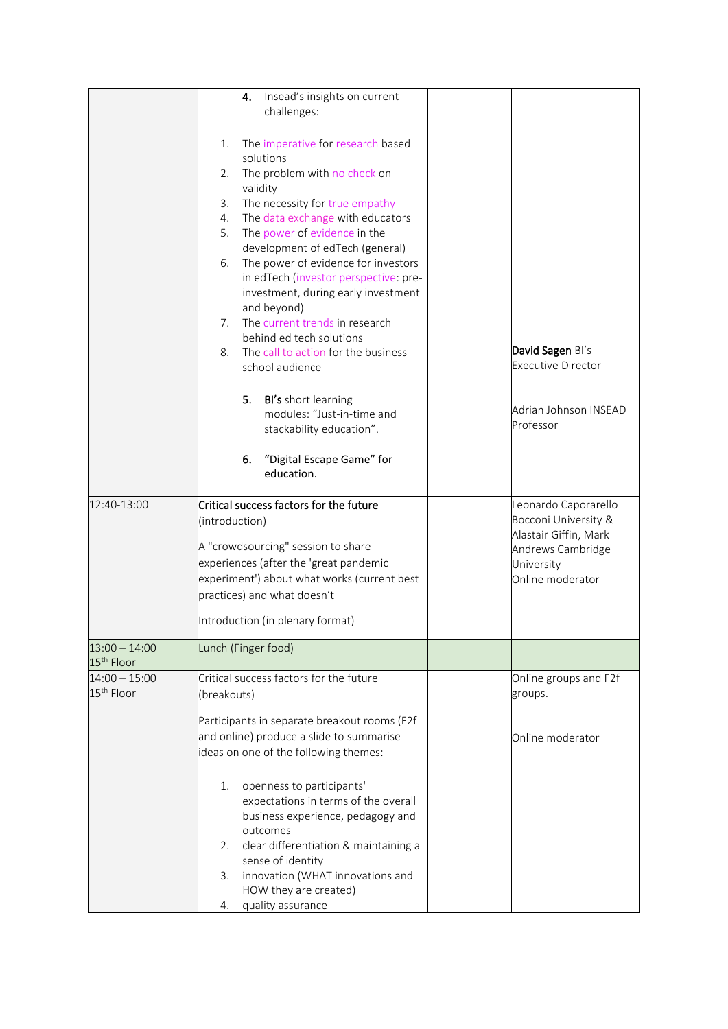|                        | Insead's insights on current<br>4.<br>challenges:                |                                    |
|------------------------|------------------------------------------------------------------|------------------------------------|
|                        |                                                                  |                                    |
|                        | The imperative for research based<br>1.                          |                                    |
|                        | solutions<br>The problem with no check on<br>2.                  |                                    |
|                        | validity                                                         |                                    |
|                        | The necessity for true empathy<br>3.                             |                                    |
|                        | The data exchange with educators<br>4.                           |                                    |
|                        | 5.<br>The power of evidence in the                               |                                    |
|                        | development of edTech (general)                                  |                                    |
|                        | The power of evidence for investors<br>6.                        |                                    |
|                        | in edTech (investor perspective: pre-                            |                                    |
|                        | investment, during early investment                              |                                    |
|                        | and beyond)<br>The current trends in research<br>7.              |                                    |
|                        | behind ed tech solutions                                         |                                    |
|                        | The call to action for the business<br>8.                        | David Sagen Bl's                   |
|                        | school audience                                                  | <b>Executive Director</b>          |
|                        |                                                                  |                                    |
|                        | BI's short learning<br>5.                                        |                                    |
|                        | modules: "Just-in-time and                                       | Adrian Johnson INSEAD<br>Professor |
|                        | stackability education".                                         |                                    |
|                        | 6.                                                               |                                    |
|                        | "Digital Escape Game" for<br>education.                          |                                    |
|                        |                                                                  |                                    |
| 12:40-13:00            | Critical success factors for the future                          | Leonardo Caporarello               |
|                        | (introduction)                                                   | Bocconi University &               |
|                        | A "crowdsourcing" session to share                               | Alastair Giffin, Mark              |
|                        | experiences (after the 'great pandemic                           | Andrews Cambridge                  |
|                        | experiment') about what works (current best                      | University<br>Online moderator     |
|                        | practices) and what doesn't                                      |                                    |
|                        |                                                                  |                                    |
|                        | Introduction (in plenary format)                                 |                                    |
| $13:00 - 14:00$        | Lunch (Finger food)                                              |                                    |
| 15 <sup>th</sup> Floor |                                                                  |                                    |
| $14:00 - 15:00$        | Critical success factors for the future                          | Online groups and F2f              |
| 15 <sup>th</sup> Floor | (breakouts)                                                      | groups.                            |
|                        | Participants in separate breakout rooms (F2f                     |                                    |
|                        | and online) produce a slide to summarise                         | Online moderator                   |
|                        | ideas on one of the following themes:                            |                                    |
|                        |                                                                  |                                    |
|                        | openness to participants'<br>1.                                  |                                    |
|                        | expectations in terms of the overall                             |                                    |
|                        | business experience, pedagogy and                                |                                    |
|                        | outcomes                                                         |                                    |
|                        | clear differentiation & maintaining a<br>2.<br>sense of identity |                                    |
|                        |                                                                  |                                    |
|                        |                                                                  |                                    |
|                        | innovation (WHAT innovations and<br>3.<br>HOW they are created)  |                                    |